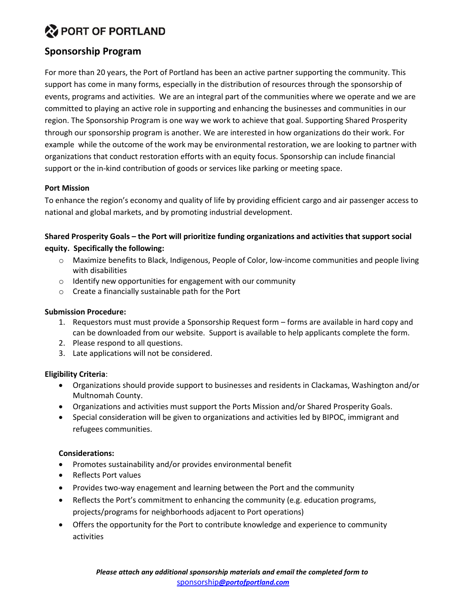# **W PORT OF PORTLAND**

## **Sponsorship Program**

For more than 20 years, the Port of Portland has been an active partner supporting the community. This support has come in many forms, especially in the distribution of resources through the sponsorship of events, programs and activities. We are an integral part of the communities where we operate and we are committed to playing an active role in supporting and enhancing the businesses and communities in our region. The Sponsorship Program is one way we work to achieve that goal. Supporting Shared Prosperity through our sponsorship program is another. We are interested in how organizations do their work. For example while the outcome of the work may be environmental restoration, we are looking to partner with organizations that conduct restoration efforts with an equity focus. Sponsorship can include financial support or the in-kind contribution of goods or services like parking or meeting space.

## **Port Mission**

To enhance the region's economy and quality of life by providing efficient cargo and air passenger access to national and global markets, and by promoting industrial development.

## **Shared Prosperity Goals – the Port will prioritize funding organizations and activities that support social equity. Specifically the following:**

- o Maximize benefits to Black, Indigenous, People of Color, low-income communities and people living with disabilities
- o Identify new opportunities for engagement with our community
- o Create a financially sustainable path for the Port

## **Submission Procedure:**

- 1. Requestors must must provide a Sponsorship Request form forms are available in hard copy and can be downloaded from our website. Support is available to help applicants complete the form.
- 2. Please respond to all questions.
- 3. Late applications will not be considered.

### **Eligibility Criteria**:

- Organizations should provide support to businesses and residents in Clackamas, Washington and/or Multnomah County.
- Organizations and activities must support the Ports Mission and/or Shared Prosperity Goals.
- Special consideration will be given to organizations and activities led by BIPOC, immigrant and refugees communities.

### **Considerations:**

- Promotes sustainability and/or provides environmental benefit
- Reflects Port values
- Provides two-way enagement and learning between the Port and the community
- Reflects the Port's commitment to enhancing the community (e.g. education programs, projects/programs for neighborhoods adjacent to Port operations)
- Offers the opportunity for the Port to contribute knowledge and experience to community activities